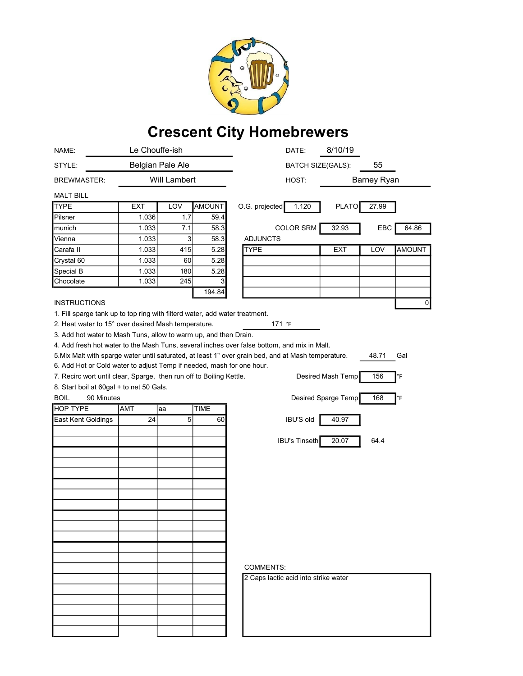

## Crescent City Homebrewers

| NAME:                                                                                                                   | Le Chouffe-ish   |             |             | 8/10/19<br>DATE:                                                                                    |                      |  |
|-------------------------------------------------------------------------------------------------------------------------|------------------|-------------|-------------|-----------------------------------------------------------------------------------------------------|----------------------|--|
| STYLE:                                                                                                                  | Belgian Pale Ale |             |             | <b>BATCH SIZE(GALS):</b>                                                                            | 55                   |  |
| <b>BREWMASTER:</b>                                                                                                      | Will Lambert     |             |             | HOST:                                                                                               | Barney Ryan          |  |
| <b>MALT BILL</b>                                                                                                        |                  |             |             |                                                                                                     |                      |  |
| <b>TYPE</b>                                                                                                             | EXT              | LOV         | AMOUNT      | 1.120<br><b>PLATO</b><br>O.G. projected                                                             | 27.99                |  |
| Pilsner                                                                                                                 | 1.036            | 1.7         | 59.4        |                                                                                                     |                      |  |
| munich                                                                                                                  | 1.033            | 7.1         | 58.3        | <b>COLOR SRM</b><br>32.93                                                                           | EBC<br>64.86         |  |
| Vienna                                                                                                                  | 1.033            | 3           | 58.3        | <b>ADJUNCTS</b>                                                                                     |                      |  |
| Carafa II                                                                                                               | 1.033            | 415         | 5.28        | <b>TYPE</b><br><b>EXT</b>                                                                           | LOV<br><b>AMOUNT</b> |  |
| Crystal 60                                                                                                              | 1.033            | 60          | 5.28        |                                                                                                     |                      |  |
| Special B                                                                                                               | 1.033            | 180         | 5.28        |                                                                                                     |                      |  |
| Chocolate                                                                                                               | 1.033            | 245         | 3           |                                                                                                     |                      |  |
|                                                                                                                         |                  |             | 194.84      |                                                                                                     |                      |  |
| <b>INSTRUCTIONS</b>                                                                                                     |                  |             |             |                                                                                                     | 0                    |  |
| 1. Fill sparge tank up to top ring with filterd water, add water treatment.                                             |                  |             |             |                                                                                                     |                      |  |
| 2. Heat water to 15° over desired Mash temperature.<br>3. Add hot water to Mash Tuns, allow to warm up, and then Drain. |                  |             |             | 171 °F                                                                                              |                      |  |
|                                                                                                                         |                  |             |             | 4. Add fresh hot water to the Mash Tuns, several inches over false bottom, and mix in Malt.         |                      |  |
|                                                                                                                         |                  |             |             | 5. Mix Malt with sparge water until saturated, at least 1" over grain bed, and at Mash temperature. | 48.71<br>Gal         |  |
| 6. Add Hot or Cold water to adjust Temp if needed, mash for one hour.                                                   |                  |             |             |                                                                                                     |                      |  |
| 7. Recirc wort until clear, Sparge, then run off to Boiling Kettle.                                                     |                  |             |             | Desired Mash Temp                                                                                   | 156<br>°F            |  |
| 8. Start boil at 60gal + to net 50 Gals.                                                                                |                  |             |             |                                                                                                     |                      |  |
| <b>BOIL</b><br>90 Minutes                                                                                               |                  |             |             | Desired Sparge Temp                                                                                 | 168<br>°F            |  |
| <b>HOP TYPE</b>                                                                                                         | <b>AMT</b>       | aa          | <b>TIME</b> |                                                                                                     |                      |  |
| East Kent Goldings                                                                                                      | 24               | $\,$ 5 $\,$ | 60          | <b>IBU'S old</b><br>40.97                                                                           |                      |  |
|                                                                                                                         |                  |             |             |                                                                                                     |                      |  |
|                                                                                                                         |                  |             |             | <b>IBU's Tinseth</b><br>20.07                                                                       | 64.4                 |  |
|                                                                                                                         |                  |             |             |                                                                                                     |                      |  |
|                                                                                                                         |                  |             |             |                                                                                                     |                      |  |
|                                                                                                                         |                  |             |             |                                                                                                     |                      |  |
|                                                                                                                         |                  |             |             |                                                                                                     |                      |  |
|                                                                                                                         |                  |             |             |                                                                                                     |                      |  |
|                                                                                                                         |                  |             |             |                                                                                                     |                      |  |
|                                                                                                                         |                  |             |             |                                                                                                     |                      |  |
|                                                                                                                         |                  |             |             |                                                                                                     |                      |  |
|                                                                                                                         |                  |             |             |                                                                                                     |                      |  |
|                                                                                                                         |                  |             |             |                                                                                                     |                      |  |
|                                                                                                                         |                  |             |             |                                                                                                     |                      |  |
|                                                                                                                         |                  |             |             | <b>COMMENTS:</b>                                                                                    |                      |  |
|                                                                                                                         |                  |             |             | 2 Caps lactic acid into strike water                                                                |                      |  |
|                                                                                                                         |                  |             |             |                                                                                                     |                      |  |
|                                                                                                                         |                  |             |             |                                                                                                     |                      |  |
|                                                                                                                         |                  |             |             |                                                                                                     |                      |  |
|                                                                                                                         |                  |             |             |                                                                                                     |                      |  |
|                                                                                                                         |                  |             |             |                                                                                                     |                      |  |
|                                                                                                                         |                  |             |             |                                                                                                     |                      |  |